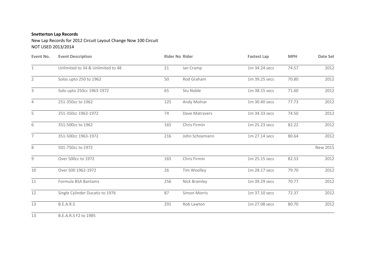## **Snetterton Lap Records**

New Lap Records for 2012 Circuit Layout Change Now 100 Circuit NOT USED 2013/2014

| Event No.<br>$\mathbf{1}$ | <b>Event Description</b><br>Unlimited to 34 & Unlimited to 48 | <b>Rider No Rider</b> |                | <b>Fastest Lap</b> | <b>MPH</b> | Date Set |
|---------------------------|---------------------------------------------------------------|-----------------------|----------------|--------------------|------------|----------|
|                           |                                                               | 21                    | lan Cramp      | 1m 34.24 secs      | 74.57      | 2012     |
| $\overline{2}$            | Solos upto 250 to 1962                                        | 50                    | Rod Graham     | 1m 39.25 secs      | 70.80      | 2012     |
| $\mathbf{3}$              | Solo upto 250cc 1963-1972                                     | 65                    | Stu Noble      | 1m 38.15 secs      | 71.60      | 2012     |
| $\overline{4}$            | 251-350cc to 1962                                             | 125                   | Andy Molnar    | 1m 30.40 secs      | 77.73      | 2012     |
| 5                         | 251-350cc 1963-1972                                           | 74                    | Dave Matravers | 1m 34.33 secs      | 74.50      | 2012     |
| 6                         | 351-500cc to 1962                                             | 165                   | Chris Firmin   | 1m 25.23 secs      | 82.22      | 2012     |
| $\overline{7}$            | 351-500cc 1963-1972                                           | 216                   | John Schoemann | 1m 27.14 secs      | 80.64      | 2012     |
| 8                         | 501-750cc to 1972                                             |                       |                |                    |            | New 2015 |
| 9                         | Over 500cc to 1972                                            | 165                   | Chris Firmin   | 1m 25.15 secs      | 82.53      | 2012     |
| 10                        | Over 500 1962-1972                                            | 26                    | Tim Woolley    | 1m 28.17 secs      | 79.70      | 2012     |
| 11                        | Formula BSA Bantams                                           | 256                   | Nick Bramley   | 1m 39.29 secs      | 70.77      | 2012     |
| 12                        | Single Cylinder Ducatis to 1976                               | 87                    | Simon Morris   | 1m 37.10 secs      | 72.37      | 2012     |
| 13                        | B.E.A.R.S                                                     | 291                   | Rob Lawton     | 1m 27.08 secs      | 80.70      | 2012     |
| 13                        | B.E.A.R.S F2 to 1985                                          |                       |                |                    |            |          |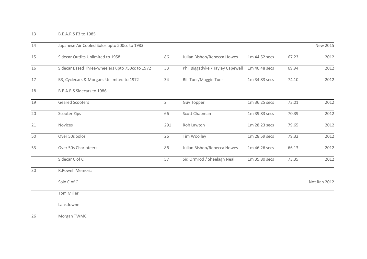| 14 | Japanese Air Cooled Solos upto 500cc to 1983    |                |                                  |               |       | New 2015     |  |
|----|-------------------------------------------------|----------------|----------------------------------|---------------|-------|--------------|--|
| 15 | Sidecar Outfits Unlimited to 1958               | 86             | Julian Bishop/Rebecca Howes      | 1m 44.52 secs | 67.23 | 2012         |  |
| 16 | Sidecar Based Three-wheelers upto 750cc to 1972 | 33             | Phil Biggadyke / Hayley Capewell | 1m 40.48 secs | 69.94 | 2012         |  |
| 17 | B3, Cyclecars & Morgans Unlimited to 1972       | 34             | <b>Bill Tuer/Maggie Tuer</b>     | 1m 34.83 secs | 74.10 | 2012         |  |
| 18 | B.E.A.R.S Sidecars to 1986                      |                |                                  |               |       |              |  |
| 19 | Geared Scooters                                 | $\overline{2}$ | <b>Guy Topper</b>                | 1m 36.25 secs | 73.01 | 2012         |  |
| 20 | Scooter Zips                                    | 66             | Scott Chapman                    | 1m 39.83 secs | 70.39 | 2012         |  |
| 21 | Novices                                         | 291            | Rob Lawton                       | 1m 28.23 secs | 79.65 | 2012         |  |
| 50 | Over 50s Solos                                  | 26             | Tim Woolley                      | 1m 28.59 secs | 79.32 | 2012         |  |
| 53 | Over 50s Charioteers                            | 86             | Julian Bishop/Rebecca Howes      | 1m 46.26 secs | 66.13 | 2012         |  |
|    | Sidecar C of C                                  | 57             | Sid Ormrod / Sheelagh Neal       | 1m 35.80 secs | 73.35 | 2012         |  |
| 30 | <b>R.Powell Memorial</b>                        |                |                                  |               |       |              |  |
|    | Solo C of C                                     |                |                                  |               |       | Not Ran 2012 |  |
|    | Tom Miller                                      |                |                                  |               |       |              |  |
|    | Lansdowne                                       |                |                                  |               |       |              |  |
|    | $\overline{ }$                                  |                |                                  |               |       |              |  |

Morgan TWMC